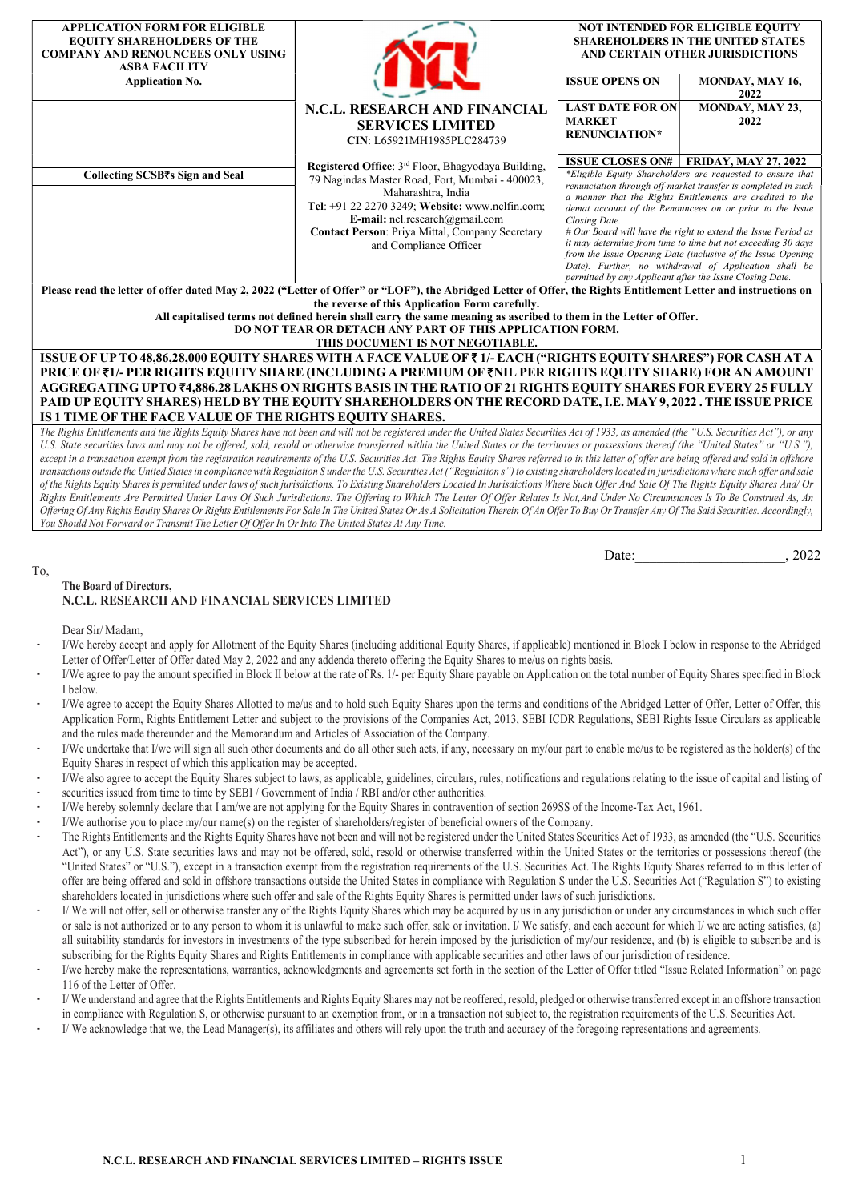| <b>APPLICATION FORM FOR ELIGIBLE</b><br><b>EQUITY SHAREHOLDERS OF THE</b><br><b>COMPANY AND RENOUNCEES ONLY USING</b><br><b>ASBA FACILITY</b>                                                                      |                                                                                                                                                                                                                                                                                                                         |                                                                           | <b>NOT INTENDED FOR ELIGIBLE EQUITY</b><br><b>SHAREHOLDERS IN THE UNITED STATES</b><br>AND CERTAIN OTHER JURISDICTIONS                                                                                                                                                                                                                                                                                                                                                                                                                                          |  |  |  |  |  |  |  |  |
|--------------------------------------------------------------------------------------------------------------------------------------------------------------------------------------------------------------------|-------------------------------------------------------------------------------------------------------------------------------------------------------------------------------------------------------------------------------------------------------------------------------------------------------------------------|---------------------------------------------------------------------------|-----------------------------------------------------------------------------------------------------------------------------------------------------------------------------------------------------------------------------------------------------------------------------------------------------------------------------------------------------------------------------------------------------------------------------------------------------------------------------------------------------------------------------------------------------------------|--|--|--|--|--|--|--|--|
| <b>Application No.</b>                                                                                                                                                                                             |                                                                                                                                                                                                                                                                                                                         | <b>ISSUE OPENS ON</b>                                                     | MONDAY, MAY 16,<br>2022                                                                                                                                                                                                                                                                                                                                                                                                                                                                                                                                         |  |  |  |  |  |  |  |  |
|                                                                                                                                                                                                                    | N.C.L. RESEARCH AND FINANCIAL<br><b>SERVICES LIMITED</b><br>CIN: L65921MH1985PLC284739                                                                                                                                                                                                                                  | <b>LAST DATE FOR ON</b><br><b>MARKET</b><br><b>RENUNCIATION*</b>          | MONDAY, MAY 23,<br>2022                                                                                                                                                                                                                                                                                                                                                                                                                                                                                                                                         |  |  |  |  |  |  |  |  |
| Collecting SCSB₹s Sign and Seal                                                                                                                                                                                    | Registered Office: 3 <sup>rd</sup> Floor, Bhagyodaya Building,<br>79 Nagindas Master Road, Fort, Mumbai - 400023,<br>Maharashtra, India<br>Tel: +91 22 2270 3249; Website: www.nclfin.com;<br><b>E-mail:</b> ncl.research@gmail.com<br><b>Contact Person: Priya Mittal, Company Secretary</b><br>and Compliance Officer | Closing Date.<br>permitted by any Applicant after the Issue Closing Date. | <b>ISSUE CLOSES ON#   FRIDAY, MAY 27, 2022</b><br>*Eligible Equity Shareholders are requested to ensure that<br>renunciation through off-market transfer is completed in such<br>a manner that the Rights Entitlements are credited to the<br>demat account of the Renouncees on or prior to the Issue<br># Our Board will have the right to extend the Issue Period as<br>it may determine from time to time but not exceeding 30 days<br>from the Issue Opening Date (inclusive of the Issue Opening<br>Date). Further, no withdrawal of Application shall be |  |  |  |  |  |  |  |  |
| Please read the letter of offer dated May 2, 2022 ("Letter of Offer" or "LOF"), the Abridged Letter of Offer, the Rights Entitlement Letter and instructions on<br>the reverse of this Application Form carefully. |                                                                                                                                                                                                                                                                                                                         |                                                                           |                                                                                                                                                                                                                                                                                                                                                                                                                                                                                                                                                                 |  |  |  |  |  |  |  |  |
| All capitalised terms not defined herein shall carry the same meaning as ascribed to them in the Letter of Offer.<br>DO NOT TEAR OR DETACH ANY PART OF THIS APPLICATION FORM.<br>THIS DOCUMENT IS NOT NEGOTIABLE.  |                                                                                                                                                                                                                                                                                                                         |                                                                           |                                                                                                                                                                                                                                                                                                                                                                                                                                                                                                                                                                 |  |  |  |  |  |  |  |  |
| DDIAR ARSI I DRD DIAHRA RAHHRI AH I DR (BIAL HDDIA). I DDRIHHI ARSIH, DRD DIAHRA RAHHRI AH I DR RAD I BL I MAHMR                                                                                                   | ISSUE OF UP TO 48,86,28,000 EQUITY SHARES WITH A FACE VALUE OF ₹1/- EACH ("RIGHTS EQUITY SHARES") FOR CASH AT A                                                                                                                                                                                                         |                                                                           |                                                                                                                                                                                                                                                                                                                                                                                                                                                                                                                                                                 |  |  |  |  |  |  |  |  |

# PRICE OF ₹1/- PER RIGHTS EQUITY SHARE (INCLUDING A PREMIUM OF ₹NIL PER RIGHTS EQUITY SHARE) FOR AN AMOUNT AGGREGATING UPTO ₹4,886.28 LAKHS ON RIGHTS BASIS IN THE RATIO OF 21 RIGHTS EQUITY SHARES FOR EVERY 25 FULLY PAID UP EQUITY SHARES) HELD BY THE EQUITY SHAREHOLDERS ON THE RECORD DATE,I.E. MAY 9, 2022 . THE ISSUE PRICE IS 1 TIME OF THE FACE VALUE OF THE RIGHTS EQUITY SHARES.

The Rights Entitlements and the Rights Equity Shares have not been and will not be registered under the United States Securities Act of 1933, as amended (the "U.S. Securities Act"), or any U.S. State securities laws and may not be offered, sold, resold or otherwise transferred within the United States or the territories or possessions thereof (the "United States" or "U.S."), except in a transaction exempt from the registration requirements of the U.S. Securities Act. The Rights Equity Shares referred to in this letter of offer are being offered and sold in offshore transactions outside the United States in compliance with Regulation S under the U.S. Securities Act ("Regulations") to existing shareholders located in jurisdictions where such offer and sale of the Rights Equity Shares is permitted under laws of such jurisdictions. To Existing Shareholders Located In Jurisdictions Where Such Offer And Sale Of The Rights Equity Shares And/ Or Rights Entitlements Are Permitted Under Laws Of Such Jurisdictions. The Offering to Which The Letter Of Offer Relates Is Not, And Under No Circumstances Is To Be Construed As, An Offering Of Any Rights Equity Shares Or Rights Entitlements For Sale In The United States Or As A Solicitation Therein Of An Offer To Buy Or Transfer Any Of The Said Securities. Accordingly, You Should Not Forward or Transmit The Letter Of Offer In Or Into The United States At Any Time.

Date: , 2022

## To, The Board of Directors, N.C.L. RESEARCH AND FINANCIAL SERVICES LIMITED

Dear Sir/ Madam,

- I/We hereby accept and apply for Allotment of the Equity Shares (including additional Equity Shares, if applicable) mentioned in Block I below in response to the Abridged Letter of Offer/Letter of Offer dated May 2, 2022 and any addenda thereto offering the Equity Shares to me/us on rights basis.
- I/We agree to pay the amount specified in Block II below at the rate of Rs. 1/- per Equity Share payable on Application on the total number of Equity Shares specified in Block I below.
- I/We agree to accept the Equity Shares Allotted to me/us and to hold such Equity Shares upon the terms and conditions of the Abridged Letter of Offer, Letter of Offer, this Application Form, Rights Entitlement Letter and subject to the provisions of the Companies Act, 2013, SEBI ICDR Regulations, SEBI Rights Issue Circulars as applicable and the rules made thereunder and the Memorandum and Articles of Association of the Company.
- I/We undertake that I/we will sign all such other documents and do all other such acts, if any, necessary on my/our part to enable me/us to be registered as the holder(s) of the Equity Shares in respect of which this application may be accepted.
- I/We also agree to accept the Equity Shares subject to laws, as applicable, guidelines, circulars, rules, notifications and regulations relating to the issue of capital and listing of
- securities issued from time to time by SEBI / Government of India / RBI and/or other authorities.
- I/We hereby solemnly declare that I am/we are not applying for the Equity Shares in contravention of section 269SS of the Income-Tax Act, 1961.
- I/We authorise you to place my/our name(s) on the register of shareholders/register of beneficial owners of the Company.
- The Rights Entitlements and the Rights Equity Shares have not been and will not be registered under the United States Securities Act of 1933, as amended (the "U.S. Securities Act"), or any U.S. State securities laws and may not be offered, sold, resold or otherwise transferred within the United States or the territories or possessions thereof (the "United States" or "U.S."), except in a transaction exempt from the registration requirements of the U.S. Securities Act. The Rights Equity Shares referred to in this letter of offer are being offered and sold in offshore transactions outside the United States in compliance with Regulation S under the U.S. Securities Act ("Regulation S") to existing shareholders located in jurisdictions where such offer and sale of the Rights Equity Shares is permitted under laws of such jurisdictions.
- I/ We will not offer, sell or otherwise transfer any of the Rights Equity Shares which may be acquired by us in any jurisdiction or under any circumstances in which such offer or sale is not authorized or to any person to whom it is unlawful to make such offer, sale or invitation. I/ We satisfy, and each account for which I/ we are acting satisfies, (a) all suitability standards for investors in investments of the type subscribed for herein imposed by the jurisdiction of my/our residence, and (b) is eligible to subscribe and is subscribing for the Rights Equity Shares and Rights Entitlements in compliance with applicable securities and other laws of our jurisdiction of residence.
- I/we hereby make the representations, warranties, acknowledgments and agreements set forth in the section of the Letter of Offer titled "Issue Related Information" on page 116 of the Letter of Offer.
- I/ We understand and agree that the Rights Entitlements and Rights Equity Shares may not be reoffered, resold, pledged or otherwise transferred except in an offshore transaction in compliance with Regulation S, or otherwise pursuant to an exemption from, or in a transaction not subject to, the registration requirements of the U.S. Securities Act.
- I/ We acknowledge that we, the Lead Manager(s), its affiliates and others will rely upon the truth and accuracy of the foregoing representations and agreements.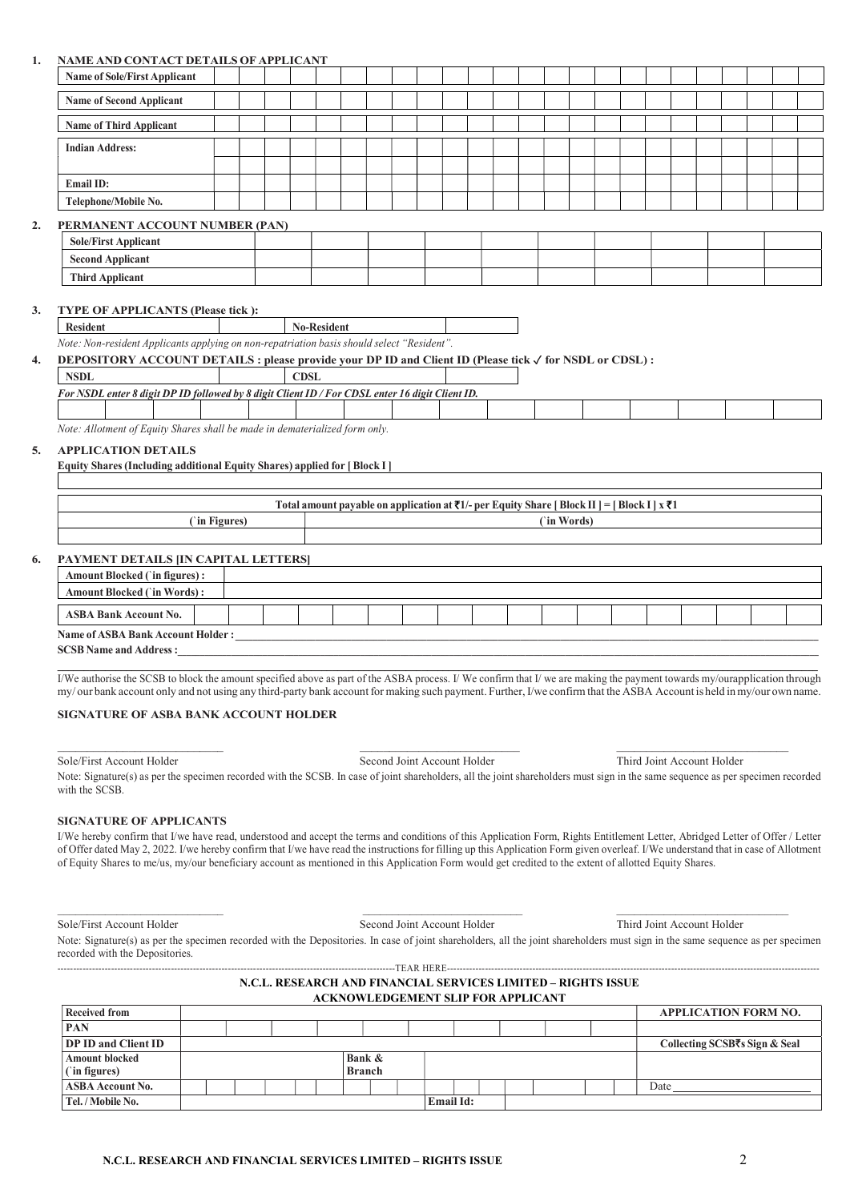## 1. NAME AND CONTACT DETAILS OF APPLICANT

| <u>tumbinus contrict belimbo of in ferchat</u>                |  |  |  |  |  |  |  |  |  |  |  |  |
|---------------------------------------------------------------|--|--|--|--|--|--|--|--|--|--|--|--|
| <b>Name of Sole/First Applicant</b>                           |  |  |  |  |  |  |  |  |  |  |  |  |
| <b>Name of Second Applicant</b>                               |  |  |  |  |  |  |  |  |  |  |  |  |
| <b>Name of Third Applicant</b>                                |  |  |  |  |  |  |  |  |  |  |  |  |
| <b>Indian Address:</b>                                        |  |  |  |  |  |  |  |  |  |  |  |  |
|                                                               |  |  |  |  |  |  |  |  |  |  |  |  |
| <b>Email ID:</b>                                              |  |  |  |  |  |  |  |  |  |  |  |  |
| Telephone/Mobile No.                                          |  |  |  |  |  |  |  |  |  |  |  |  |
| PERMANENT ACCOUNT NUMBER (PAN)<br><b>Sole/First Applicant</b> |  |  |  |  |  |  |  |  |  |  |  |  |
| Connel Annliague                                              |  |  |  |  |  |  |  |  |  |  |  |  |

| Sole/First<br>$-$<br>Applicant     |  |  |  |  |  |
|------------------------------------|--|--|--|--|--|
| Second<br>Applicant                |  |  |  |  |  |
| $\cdots$<br><b>Third Applicant</b> |  |  |  |  |  |

### 3. TYPE OF APPLICANTS (Please tick ):

Resident No-Resident

## Note: Non-resident Applicants applying on non-repatriation basis should select "Resident". DEPOSITORY ACCOUNT DETAILS : please provide your DP ID and Client ID (Please tick √ for NSDL or CDSL) :

| <b>NSDL</b>                                                                                     | CDSI |  |  |
|-------------------------------------------------------------------------------------------------|------|--|--|
| For NSDL enter 8 digit DP ID followed by 8 digit Client ID / For CDSL enter 16 digit Client ID. |      |  |  |
|                                                                                                 |      |  |  |

Note: Allotment of Equity Shares shall be made in dematerialized form only.

### 5. APPLICATION DETAILS

|  |  | <b>Equity Shares (Including additional Equity Shares) applied for [Block I]</b> |  |
|--|--|---------------------------------------------------------------------------------|--|
|  |  |                                                                                 |  |

|            | Total amount payable on application at $\overline{\tau}1/-$ per Equity Share [Block II] = [Block I] $\overline{x}$ $\overline{\tau}1$ |
|------------|---------------------------------------------------------------------------------------------------------------------------------------|
| in Figures | 'in Words                                                                                                                             |
|            |                                                                                                                                       |

## 6. PAYMENT DETAILS [IN CAPITAL LETTERS]

| Amount Blocked ('in figures):            |  |  |  |  |  |  |  |  |  |
|------------------------------------------|--|--|--|--|--|--|--|--|--|
| <b>Amount Blocked ('in Words):</b>       |  |  |  |  |  |  |  |  |  |
| <b>ASBA Bank Account No.</b>             |  |  |  |  |  |  |  |  |  |
| <b>Name of ASBA Bank Account Holder:</b> |  |  |  |  |  |  |  |  |  |
| <b>SCSB Name and Address :</b>           |  |  |  |  |  |  |  |  |  |
|                                          |  |  |  |  |  |  |  |  |  |

I/We authorise the SCSB to block the amount specified above as part of the ASBA process. I/We confirm that I/we are making the payment towards my/ourapplication through my/ our bank account only and not using any third-party bank account for making such payment. Further, I/we confirm that the ASBA Account is held in my/our own name.

#### SIGNATURE OF ASBA BANK ACCOUNT HOLDER

Sole/First Account Holder Second Joint Account Holder Third Joint Account Holder

Note: Signature(s) as per the specimen recorded with the SCSB. In case of joint shareholders, all the joint shareholders must sign in the same sequence as per specimen recorded with the SCSB.

## SIGNATURE OF APPLICANTS

I/We hereby confirm that I/we have read, understood and accept the terms and conditions of this Application Form, Rights Entitlement Letter, Abridged Letter of Offer / Letter of Offer dated May 2, 2022. I/we hereby confirm that I/we have read the instructions for filling up this Application Form given overleaf. I/We understand that in case of Allotment of Equity Shares to me/us, my/our beneficiary account as mentioned in this Application Form would get credited to the extent of allotted Equity Shares.

Sole/First Account Holder Second Joint Account Holder Third Joint Account Holder

Note: Signature(s) as per the specimen recorded with the Depositories. In case of joint shareholders, all the joint shareholders must sign in the same sequence as per specimen recorded with the Depositories.

# N.C.L. RESEARCH AND FINANCIAL SERVICES LIMITED – RIGHTS ISSUE ACKNOWLEDGEMENT SLIP FOR APPLICANT

-----------------------------------------------------------------------------------------------------------TEAR HERE----------------------------------------------------------------------------------------------------------------------

| <b>Received from</b>                         |  |  |  |                         |                  |  |  |  | <b>APPLICATION FORM NO.</b>   |
|----------------------------------------------|--|--|--|-------------------------|------------------|--|--|--|-------------------------------|
| <b>PAN</b>                                   |  |  |  |                         |                  |  |  |  |                               |
| <b>DP ID and Client ID</b>                   |  |  |  |                         |                  |  |  |  | Collecting SCSB₹s Sign & Seal |
| <b>Amount blocked</b><br>$\int$ (in figures) |  |  |  | Bank &<br><b>Branch</b> |                  |  |  |  |                               |
| <b>ASBA Account No.</b>                      |  |  |  |                         |                  |  |  |  | Date                          |
| Tel. / Mobile No.                            |  |  |  |                         | <b>Email Id:</b> |  |  |  |                               |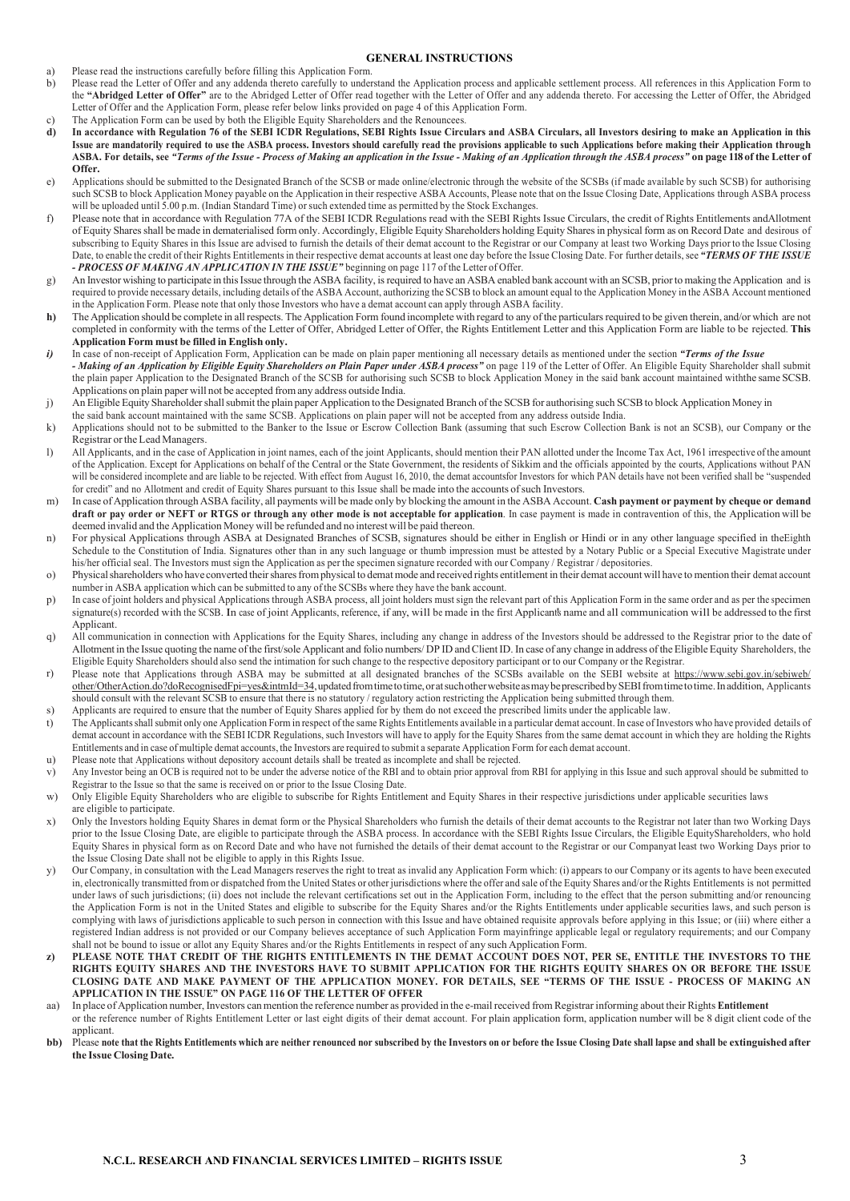## GENERAL INSTRUCTIONS

- a) Please read the instructions carefully before filling this Application Form.
- b) Please read the Letter of Offer and any addenda thereto carefully to understand the Application process and applicable settlement process. All references in this Application Form to the "Abridged Letter of Offer" are to the Abridged Letter of Offer read together with the Letter of Offer and any addenda thereto. For accessing the Letter of Offer, the Abridged Letter of Offer and the Application Form, please refer below links provided on page 4 of this Application Form.
- c) The Application Form can be used by both the Eligible Equity Shareholders and the Renouncees.<br> **d)** In accordance with Regulation 76 of the SEBI ICDR Regulations, SEBI Rights Issue Circu
- In accordance with Regulation 76 of the SEBI ICDR Regulations, SEBI Rights Issue Circulars and ASBA Circulars, all Investors desiring to make an Application in this Issue are mandatorily required to use the ASBA process. Investors should carefully read the provisions applicable to such Applications before making their Application through ASBA. For details, see "Terms of the Issue - Process of Making an application in the Issue - Making of an Application through the ASBA process" on page 118 of the Letter of Offer.
- e) Applications should be submitted to the Designated Branch of the SCSB or made online/electronic through the website of the SCSBs (if made available by such SCSB) for authorising such SCSB to block Application Money payable on the Application in their respective ASBA Accounts, Please note that on the Issue Closing Date, Applications through ASBA process will be uploaded until 5.00 p.m. (Indian Standard Time) or such extended time as permitted by the Stock Exchanges.
- f) Please note that in accordance with Regulation 77A of the SEBI ICDR Regulations read with the SEBI Rights Issue Circulars, the credit of Rights Entitlements and Allotment of Equity Shares shall be made in dematerialised form only. Accordingly, Eligible Equity Shareholders holding Equity Shares in physical form as on Record Date and desirous of subscribing to Equity Shares in this Issue are advised to furnish the details of their demat account to the Registrar or our Company at least two Working Days prior to the Issue Closing Date, to enable the credit of their Rights Entitlements in their respective demat accounts at least one day before the Issue Closing Date. For further details, see "TERMS OF THE ISSUE - PROCESS OF MAKING AN APPLICATION IN THE ISSUE" beginning on page 117 of the Letter of Offer.
- g) An Investor wishing to participate in this Issue through the ASBA facility, is required to have an ASBA enabled bank account with an SCSB, prior to making the Application and is required to provide necessary details, including details of the ASBA Account, authorizing the SCSB to block an amount equal to the Application Money in the ASBA Account mentioned in the Application Form. Please note that only those Investors who have a demat account can apply through ASBA facility.
- h) The Application should be complete in all respects. The Application Form found incomplete with regard to any of the particulars required to be given therein, and/or which are not completed in conformity with the terms of the Letter of Offer, Abridged Letter of Offer, the Rights Entitlement Letter and this Application Form are liable to be rejected. This Application Form must be filled in English only.
- i) In case of non-receipt of Application Form, Application can be made on plain paper mentioning all necessary details as mentioned under the section "Terms of the Issue - Making of an Application by Eligible Equity Shareholders on Plain Paper under ASBA process" on page 119 of the Letter of Offer. An Eligible Equity Shareholder shall submit the plain paper Application to the Designated Branch of the SCSB for authorising such SCSB to block Application Money in the said bank account maintained with the same SCSB. Applications on plain paper will not be accepted from any address outside India.
- j) An Eligible Equity Shareholder shall submit the plain paper Application to the Designated Branch of the SCSB for authorising such SCSB to block Application Money in
- the said bank account maintained with the same SCSB. Applications on plain paper will not be accepted from any address outside India. k) Applications should not to be submitted to the Banker to the Issue or Escrow Collection Bank (assuming that such Escrow Collection Bank is not an SCSB), our Company or the Registrar or the Lead Managers.
- l) All Applicants, and in the case of Application in joint names, each of the joint Applicants, should mention their PAN allotted under the Income Tax Act, 1961 irrespective of the amount of the Application. Except for Applications on behalf of the Central or the State Government, the residents of Sikkim and the officials appointed by the courts, Applications without PAN will be considered incomplete and are liable to be rejected. With effect from August 16, 2010, the demat accounts for Investors for which PAN details have not been verified shall be "suspended for credit" and no Allotment and credit of Equity Shares pursuant to this Issue shall be made into the accounts of such Investors.
- m) In case of Application through ASBA facility, all payments will be made only by blocking the amount in the ASBA Account. Cash payment or payment by cheque or demand draft or pay order or NEFT or RTGS or through any other mode is not acceptable for application. In case payment is made in contravention of this, the Application will be deemed invalid and the Application Money will be refunded and no interest will be paid thereon.
- n) For physical Applications through ASBA at Designated Branches of SCSB, signatures should be either in English or Hindi or in any other language specified in the Eighth Schedule to the Constitution of India. Signatures other than in any such language or thumb impression must be attested by a Notary Public or a Special Executive Magistrate under his/her official seal. The Investors must sign the Application as per the specimen signature recorded with our Company / Registrar / depositories.
- o) Physical shareholders who have converted their shares from physical to demat mode and received rights entitlement in their demat account will have to mention their demat account number in ASBA application which can be submitted to any of the SCSBs where they have the bank account.
- p) In case of joint holders and physical Applications through ASBA process, all joint holders must sign the relevant part of this Application Form in the same order and as per the specimen signature(s) recorded with the SCSB. In case of joint Applicants, reference, if any, will be made in the first Applicant's name and all communication will be addressed to the first Applicant.
- q) All communication in connection with Applications for the Equity Shares, including any change in address of the Investors should be addressed to the Registrar prior to the date of Allotment in the Issue quoting the name of the first/sole Applicant and folio numbers/ DP ID and Client ID. In case of any change in address of the Eligible Equity Shareholders, the Eligible Equity Shareholders should also send the intimation for such change to the respective depository participant or to our Company or the Registrar.
- r) Please note that Applications through ASBA may be submitted at all designated branches of the SCSBs available on the SEBI website at https://www.sebi.gov.in/sebiweb/ other/OtherAction.do?doRecognisedFpi=yes&intmId=34, updated from time to time, or at such other website as may be prescribed by SEBI from time to time. In addition, Applicants should consult with the relevant SCSB to ensure that there is no statutory / regulatory action restricting the Application being submitted through them.
- s) Applicants are required to ensure that the number of Equity Shares applied for by them do not exceed the prescribed limits under the applicable law.
- t) The Applicants shall submit only one Application Form in respect of the same Rights Entitlements available in a particular demat account. In case of Investors who have provided details of demat account in accordance with the SEBI ICDR Regulations, such Investors will have to apply for the Equity Shares from the same demat account in which they are holding the Rights Entitlements and in case of multiple demat accounts, the Investors are required to submit a separate Application Form for each demat account. u) Please note that Applications without depository account details shall be treated as incomplete and shall be rejected.
- v) Any Investor being an OCB is required not to be under the adverse notice of the RBI and to obtain prior approval from RBI for applying in this Issue and such approval should be submitted to Registrar to the Issue so that the same is received on or prior to the Issue Closing Date.
- w) Only Eligible Equity Shareholders who are eligible to subscribe for Rights Entitlement and Equity Shares in their respective jurisdictions under applicable securities laws are eligible to participate.
- x) Only the Investors holding Equity Shares in demat form or the Physical Shareholders who furnish the details of their demat accounts to the Registrar not later than two Working Days prior to the Issue Closing Date, are eligible to participate through the ASBA process. In accordance with the SEBI Rights Issue Circulars, the Eligible Equity Shareholders, who hold Equity Shares in physical form as on Record Date and who have not furnished the details of their demat account to the Registrar or our Company at least two Working Days prior to the Issue Closing Date shall not be eligible to apply in this Rights Issue.
- y) Our Company, in consultation with the Lead Managers reserves the right to treat as invalid any Application Form which: (i) appears to our Company or its agents to have been executed in, electronically transmitted from or dispatched from the United States or other jurisdictions where the offer and sale of the Equity Shares and/or the Rights Entitlements is not permitted under laws of such jurisdictions; (ii) does not include the relevant certifications set out in the Application Form, including to the effect that the person submitting and/or renouncing the Application Form is not in the United States and eligible to subscribe for the Equity Shares and/or the Rights Entitlements under applicable securities laws, and such person is complying with laws of jurisdictions applicable to such person in connection with this Issue and have obtained requisite approvals before applying in this Issue; or (iii) where either a registered Indian address is not provided or our Company believes acceptance of such Application Form may infringe applicable legal or regulatory requirements; and our Company shall not be bound to issue or allot any Equity Shares and/or the Rights Entitlements in respect of any such Application Form.
- z) PLEASE NOTE THAT CREDIT OF THE RIGHTS ENTITLEMENTS IN THE DEMAT ACCOUNT DOES NOT, PER SE, ENTITLE THE INVESTORS TO THE RIGHTS EQUITY SHARES AND THE INVESTORS HAVE TO SUBMIT APPLICATION FOR THE RIGHTS EQUITY SHARES ON OR BEFORE THE ISSUE CLOSING DATE AND MAKE PAYMENT OF THE APPLICATION MONEY. FOR DETAILS, SEE "TERMS OF THE ISSUE - PROCESS OF MAKING AN APPLICATION IN THE ISSUE" ON PAGE 116 OF THE LETTER OF OFFER
- aa) In place of Application number, Investors can mention the reference number as provided in the e-mail received from Registrar informing about their Rights Entitlement or the reference number of Rights Entitlement Letter or last eight digits of their demat account. For plain application form, application number will be 8 digit client code of the applicant.
- bb) Please note that the Rights Entitlements which are neither renounced nor subscribed by the Investors on or before the Issue Closing Date shall lanse and shall be extinguished after the Issue Closing Date.